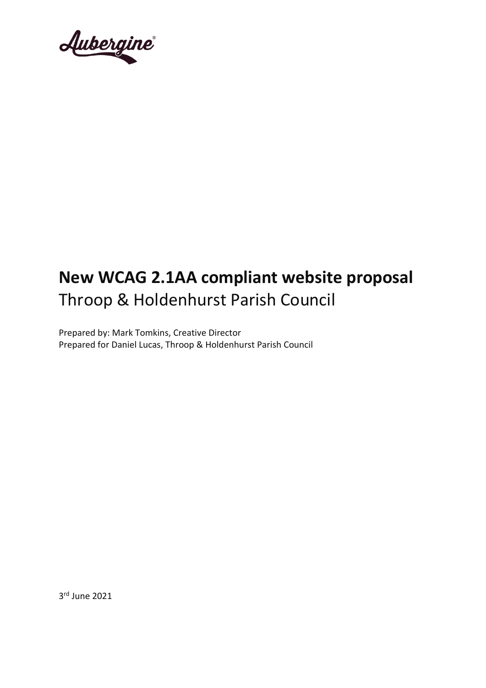Aubergine

# **New WCAG 2.1AA compliant website proposal**  Throop & Holdenhurst Parish Council

Prepared by: Mark Tomkins, Creative Director Prepared for Daniel Lucas, Throop & Holdenhurst Parish Council

3 rd June 2021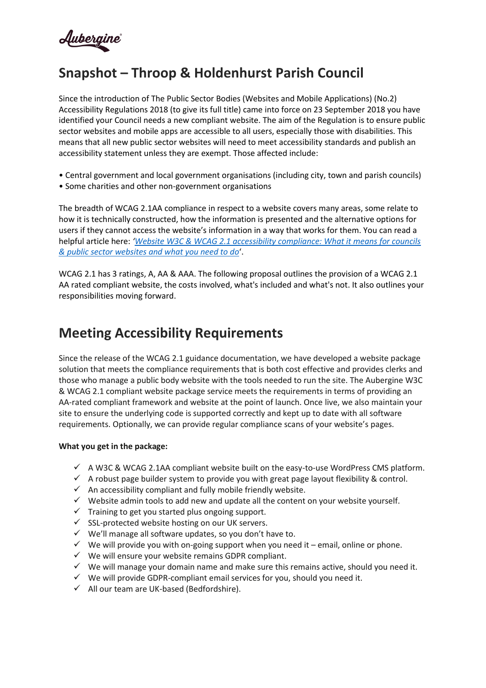

# **Snapshot – Throop & Holdenhurst Parish Council**

Since the introduction of The Public Sector Bodies (Websites and Mobile Applications) (No.2) Accessibility Regulations 2018 (to give its full title) came into force on 23 September 2018 you have identified your Council needs a new compliant website. The aim of the Regulation is to ensure public sector websites and mobile apps are accessible to all users, especially those with disabilities. This means that all new public sector websites will need to meet accessibility standards and publish an accessibility statement unless they are exempt. Those affected include:

- Central government and local government organisations (including city, town and parish councils)
- Some charities and other non-government organisations

The breadth of WCAG 2.1AA compliance in respect to a website covers many areas, some relate to how it is technically constructed, how the information is presented and the alternative options for users if they cannot access the website's information in a way that works for them. You can read a helpful article here: *'[Website W3C & WCAG 2.1 accessibility compliance: What it means for councils](https://www.aubergine262.com/wcag-2-1-website-compliance-for-public-bodies-simplified/)  [& public sector websites and what you need to do](https://www.aubergine262.com/wcag-2-1-website-compliance-for-public-bodies-simplified/)*'.

WCAG 2.1 has 3 ratings, A, AA & AAA. The following proposal outlines the provision of a WCAG 2.1 AA rated compliant website, the costs involved, what's included and what's not. It also outlines your responsibilities moving forward.

# **Meeting Accessibility Requirements**

Since the release of the WCAG 2.1 guidance documentation, we have developed a website package solution that meets the compliance requirements that is both cost effective and provides clerks and those who manage a public body website with the tools needed to run the site. The Aubergine W3C & WCAG 2.1 compliant website package service meets the requirements in terms of providing an AA-rated compliant framework and website at the point of launch. Once live, we also maintain your site to ensure the underlying code is supported correctly and kept up to date with all software requirements. Optionally, we can provide regular compliance scans of your website's pages.

### **What you get in the package:**

- $\checkmark$  A W3C & WCAG 2.1AA compliant website built on the easy-to-use WordPress CMS platform.
- $\checkmark$  A robust page builder system to provide you with great page layout flexibility & control.
- $\checkmark$  An accessibility compliant and fully mobile friendly website.
- $\checkmark$  Website admin tools to add new and update all the content on your website yourself.
- $\checkmark$  Training to get you started plus ongoing support.
- ✓ SSL-protected website hosting on our UK servers.
- ✓ We'll manage all software updates, so you don't have to.
- $\checkmark$  We will provide you with on-going support when you need it email, online or phone.
- $\checkmark$  We will ensure your website remains GDPR compliant.
- $\checkmark$  We will manage your domain name and make sure this remains active, should you need it.
- $\checkmark$  We will provide GDPR-compliant email services for you, should you need it.
- $\checkmark$  All our team are UK-based (Bedfordshire).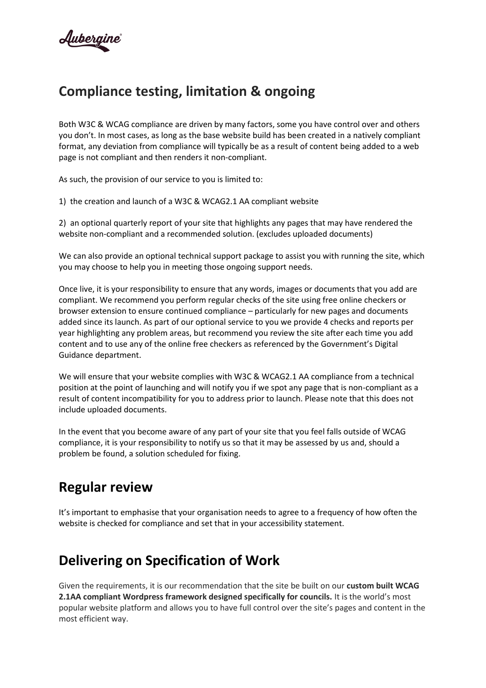# **Compliance testing, limitation & ongoing**

Both W3C & WCAG compliance are driven by many factors, some you have control over and others you don't. In most cases, as long as the base website build has been created in a natively compliant format, any deviation from compliance will typically be as a result of content being added to a web page is not compliant and then renders it non-compliant.

As such, the provision of our service to you is limited to:

1) the creation and launch of a W3C & WCAG2.1 AA compliant website

2) an optional quarterly report of your site that highlights any pages that may have rendered the website non-compliant and a recommended solution. (excludes uploaded documents)

We can also provide an optional technical support package to assist you with running the site, which you may choose to help you in meeting those ongoing support needs.

Once live, it is your responsibility to ensure that any words, images or documents that you add are compliant. We recommend you perform regular checks of the site using free online checkers or browser extension to ensure continued compliance – particularly for new pages and documents added since its launch. As part of our optional service to you we provide 4 checks and reports per year highlighting any problem areas, but recommend you review the site after each time you add content and to use any of the online free checkers as referenced by the Government's Digital Guidance department.

We will ensure that your website complies with W3C & WCAG2.1 AA compliance from a technical position at the point of launching and will notify you if we spot any page that is non-compliant as a result of content incompatibility for you to address prior to launch. Please note that this does not include uploaded documents.

In the event that you become aware of any part of your site that you feel falls outside of WCAG compliance, it is your responsibility to notify us so that it may be assessed by us and, should a problem be found, a solution scheduled for fixing.

# **Regular review**

It's important to emphasise that your organisation needs to agree to a frequency of how often the website is checked for compliance and set that in your accessibility statement.

# **Delivering on Specification of Work**

Given the requirements, it is our recommendation that the site be built on our **custom built WCAG 2.1AA compliant Wordpress framework designed specifically for councils.** It is the world's most popular website platform and allows you to have full control over the site's pages and content in the most efficient way.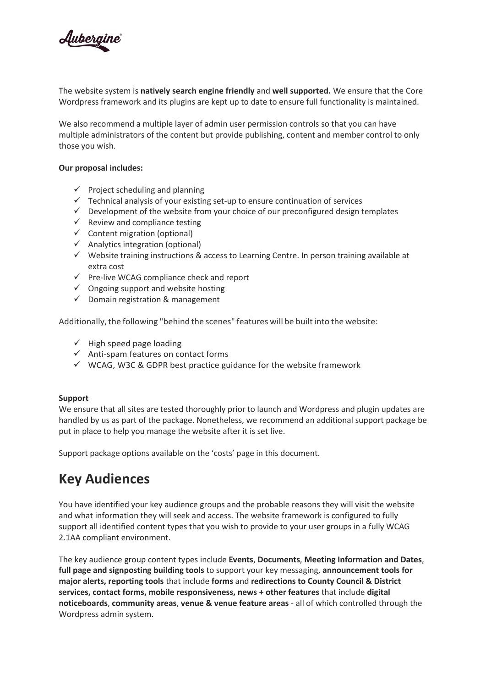

The website system is **natively search engine friendly** and **well supported.** We ensure that the Core Wordpress framework and its plugins are kept up to date to ensure full functionality is maintained.

We also recommend a multiple layer of admin user permission controls so that you can have multiple administrators of the content but provide publishing, content and member control to only those you wish.

### **Our proposal includes:**

- $\checkmark$  Project scheduling and planning
- ✓ Technical analysis of your existing set-up to ensure continuation of services
- $\checkmark$  Development of the website from your choice of our preconfigured design templates
- $\checkmark$  Review and compliance testing
- $\checkmark$  Content migration (optional)
- $\checkmark$  Analytics integration (optional)
- ✓ Website training instructions & access to Learning Centre. In person training available at extra cost
- $\checkmark$  Pre-live WCAG compliance check and report
- $\checkmark$  Ongoing support and website hosting
- $\checkmark$  Domain registration & management

Additionally, the following "behind the scenes" features will be built into the website:

- $\checkmark$  High speed page loading
- ✓ Anti‐spam features on contact forms
- $\checkmark$  WCAG, W3C & GDPR best practice guidance for the website framework

#### **Support**

We ensure that all sites are tested thoroughly prior to launch and Wordpress and plugin updates are handled by us as part of the package. Nonetheless, we recommend an additional support package be put in place to help you manage the website after it is set live.

Support package options available on the 'costs' page in this document.

# **Key Audiences**

You have identified your key audience groups and the probable reasons they will visit the website and what information they will seek and access. The website framework is configured to fully support all identified content types that you wish to provide to your user groups in a fully WCAG 2.1AA compliant environment.

The key audience group content types include **Events**, **Documents**, **Meeting Information and Dates**, **full page and signposting building tools** to support your key messaging, **announcement tools for major alerts, reporting tools** that include **forms** and **redirections to County Council & District services, contact forms, mobile responsiveness, news + other features** that include **digital noticeboards**, **community areas**, **venue & venue feature areas** - all of which controlled through the Wordpress admin system.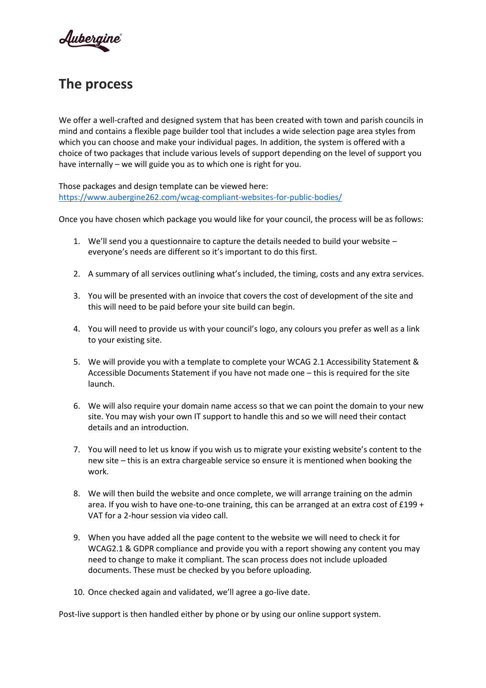

# **The process**

We offer a well-crafted and designed system that has been created with town and parish councils in mind and contains a flexible page builder tool that includes a wide selection page area styles from which you can choose and make your individual pages. In addition, the system is offered with a choice of two packages that include various levels of support depending on the level of support you have internally – we will guide you as to which one is right for you.

Those packages and design template can be viewed here: <https://www.aubergine262.com/wcag-compliant-websites-for-public-bodies/>

Once you have chosen which package you would like for your council, the process will be as follows:

- 1. We'll send you a questionnaire to capture the details needed to build your website everyone's needs are different so it's important to do this first.
- 2. A summary of all services outlining what's included, the timing, costs and any extra services.
- 3. You will be presented with an invoice that covers the cost of development of the site and this will need to be paid before your site build can begin.
- 4. You will need to provide us with your council's logo, any colours you prefer as well as a link to your existing site.
- 5. We will provide you with a template to complete your WCAG 2.1 Accessibility Statement & Accessible Documents Statement if you have not made one – this is required for the site launch.
- 6. We will also require your domain name access so that we can point the domain to your new site. You may wish your own IT support to handle this and so we will need their contact details and an introduction.
- 7. You will need to let us know if you wish us to migrate your existing website's content to the new site – this is an extra chargeable service so ensure it is mentioned when booking the work.
- 8. We will then build the website and once complete, we will arrange training on the admin area. If you wish to have one-to-one training, this can be arranged at an extra cost of £199 + VAT for a 2-hour session via video call.
- 9. When you have added all the page content to the website we will need to check it for WCAG2.1 & GDPR compliance and provide you with a report showing any content you may need to change to make it compliant. The scan process does not include uploaded documents. These must be checked by you before uploading.
- 10. Once checked again and validated, we'll agree a go-live date.

Post-live support is then handled either by phone or by using our online support system.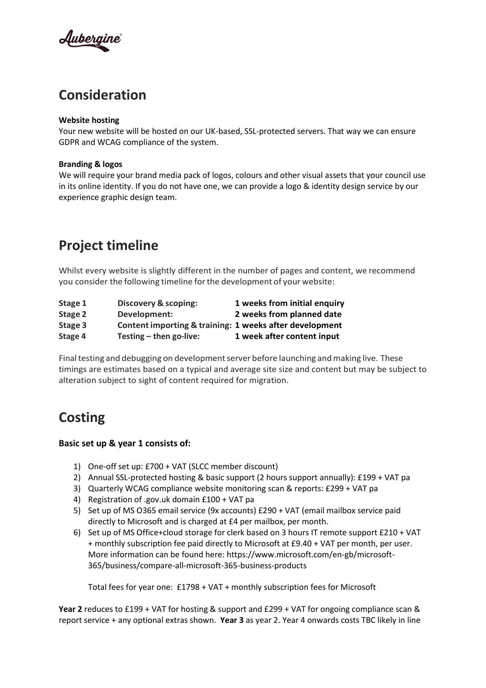

# **Consideration**

### **Website hosting**

Your new website will be hosted on our UK-based, SSL-protected servers. That way we can ensure GDPR and WCAG compliance of the system.

### **Branding & logos**

We will require your brand media pack of logos, colours and other visual assets that your council use in its online identity. If you do not have one, we can provide a logo & identity design service by our experience graphic design team.

# **Project timeline**

Whilst every website is slightly different in the number of pages and content, we recommend you consider the following timeline forthe development of your website:

| Stage 1 | Discovery & scoping:                                    | 1 weeks from initial enquiry |
|---------|---------------------------------------------------------|------------------------------|
| Stage 2 | Development:                                            | 2 weeks from planned date    |
| Stage 3 | Content importing & training: 1 weeks after development |                              |
| Stage 4 | Testing $-$ then go-live:                               | 1 week after content input   |

Final testing and debugging on development server before launching and making live. These timings are estimates based on a typical and average site size and content but may be subject to alteration subject to sight of content required for migration.

# **Costing**

### **Basic set up & year 1 consists of:**

- 1) One-off set up: £700 + VAT (SLCC member discount)
- 2) Annual SSL-protected hosting & basic support (2 hours support annually): £199 + VAT pa
- 3) Quarterly WCAG compliance website monitoring scan & reports: £299 + VAT pa
- 4) Registration of .gov.uk domain £100 + VAT pa
- 5) Set up of MS O365 email service (9x accounts) £290 + VAT (email mailbox service paid directly to Microsoft and is charged at £4 per mailbox, per month.
- 6) Set up of MS Office+cloud storage for clerk based on 3 hours IT remote support £210 + VAT + monthly subscription fee paid directly to Microsoft at £9.40 + VAT per month, per user. More information can be found here: https://www.microsoft.com/en-gb/microsoft-365/business/compare-all-microsoft-365-business-products

Total fees for year one: £1798 + VAT + monthly subscription fees for Microsoft

**Year 2** reduces to £199 + VAT for hosting & support and £299 + VAT for ongoing compliance scan & report service + any optional extras shown. **Year 3** as year 2. Year 4 onwards costs TBC likely in line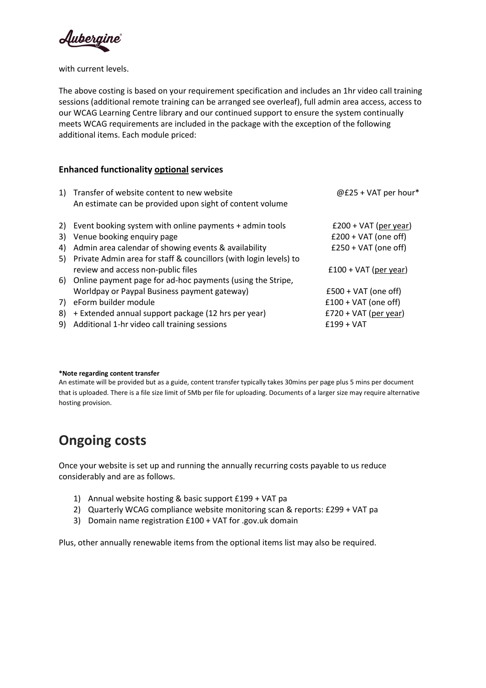Aubergine

with current levels.

The above costing is based on your requirement specification and includes an 1hr video call training sessions (additional remote training can be arranged see overleaf), full admin area access, access to our WCAG Learning Centre library and our continued support to ensure the system continually meets WCAG requirements are included in the package with the exception of the following additional items. Each module priced:

### **Enhanced functionality optional services**

| 1) | Transfer of website content to new website<br>An estimate can be provided upon sight of content volume | @£25 + VAT per hour*    |
|----|--------------------------------------------------------------------------------------------------------|-------------------------|
|    | 2) Event booking system with online payments + admin tools                                             | $£200 + VAT$ (per year) |
| 3) | Venue booking enquiry page                                                                             | $£200 + VAT$ (one off)  |
| 4) | Admin area calendar of showing events & availability                                                   | $£250 + VAT$ (one off)  |
| 5) | Private Admin area for staff & councillors (with login levels) to                                      |                         |
|    | review and access non-public files                                                                     | $£100 + VAT$ (per year) |
| 6) | Online payment page for ad-hoc payments (using the Stripe,                                             |                         |
|    | Worldpay or Paypal Business payment gateway)                                                           | $£500 + VAT$ (one off)  |
| 7) | eForm builder module                                                                                   | $£100 + VAT$ (one off)  |
| 8) | + Extended annual support package (12 hrs per year)                                                    | $£720 + VAT$ (per year) |
| 9) | Additional 1-hr video call training sessions                                                           | $£199 + VAT$            |

#### **\*Note regarding content transfer**

An estimate will be provided but as a guide, content transfer typically takes 30mins per page plus 5 mins per document that is uploaded. There is a file size limit of 5Mb per file for uploading. Documents of a larger size may require alternative hosting provision.

# **Ongoing costs**

Once your website is set up and running the annually recurring costs payable to us reduce considerably and are as follows.

- 1) Annual website hosting & basic support £199 + VAT pa
- 2) Quarterly WCAG compliance website monitoring scan & reports: £299 + VAT pa
- 3) Domain name registration £100 + VAT for .gov.uk domain

Plus, other annually renewable items from the optional items list may also be required.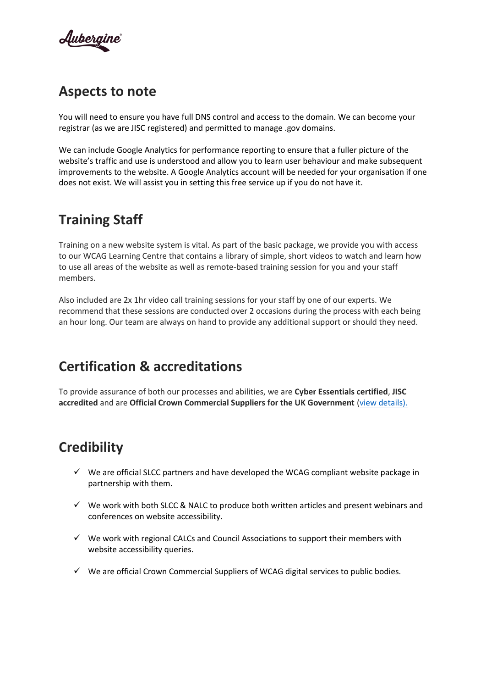

## **Aspects to note**

You will need to ensure you have full DNS control and access to the domain. We can become your registrar (as we are JISC registered) and permitted to manage .gov domains.

We can include Google Analytics for performance reporting to ensure that a fuller picture of the website's traffic and use is understood and allow you to learn user behaviour and make subsequent improvements to the website. A Google Analytics account will be needed for your organisation if one does not exist. We will assist you in setting this free service up if you do not have it.

# **Training Staff**

Training on a new website system is vital. As part of the basic package, we provide you with access to our WCAG Learning Centre that contains a library of simple, short videos to watch and learn how to use all areas of the website as well as remote-based training session for you and your staff members.

Also included are 2x 1hr video call training sessions for your staff by one of our experts. We recommend that these sessions are conducted over 2 occasions during the process with each being an hour long. Our team are always on hand to provide any additional support or should they need.

# **Certification & accreditations**

To provide assurance of both our processes and abilities, we are **Cyber Essentials certified**, **JISC accredited** and are **Official Crown Commercial Suppliers for the UK Government** [\(view details\).](https://www.aubergine262.com/credentials)

# **Credibility**

- $\checkmark$  We are official SLCC partners and have developed the WCAG compliant website package in partnership with them.
- ✓ We work with both SLCC & NALC to produce both written articles and present webinars and conferences on website accessibility.
- $\checkmark$  We work with regional CALCs and Council Associations to support their members with website accessibility queries.
- $\checkmark$  We are official Crown Commercial Suppliers of WCAG digital services to public bodies.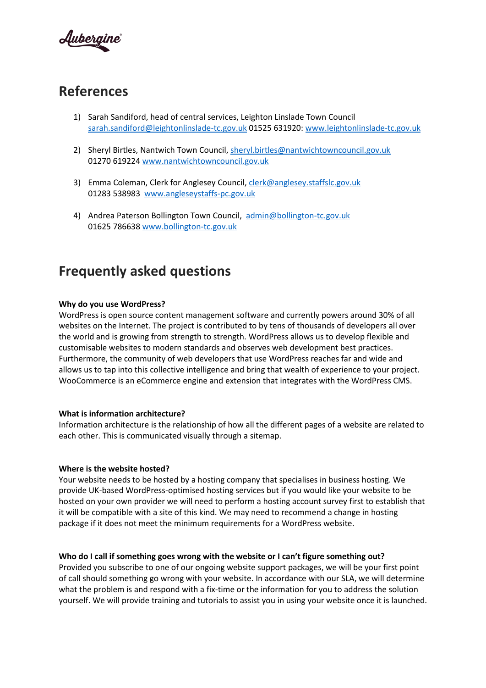

# **References**

- 1) Sarah Sandiford, head of central services, Leighton Linslade Town Council [sarah.sandiford@leightonlinslade-tc.gov.uk](mailto:sarah.sandiford@leightonlinslade-tc.gov.uk) 01525 631920: [www.leightonlinslade-tc.gov.uk](http://www.leightonlinslade-tc.gov.uk/)
- 2) Sheryl Birtles, Nantwich Town Council, [sheryl.birtles@nantwichtowncouncil.gov.uk](mailto:sheryl.birtles@nantwichtowncouncil.gov.uk) 01270 619224 [www.nantwichtowncouncil.gov.uk](http://www.nantwichtowncouncil.gov.uk/)
- 3) Emma Coleman, Clerk for Anglesey Council, [clerk@anglesey.staffslc.gov.uk](mailto:clerk@anglesey.staffslc.gov.uk) 01283 538983 [www.angleseystaffs-pc.gov.uk](http://www.angleseystaffs-pc.gov.uk/)
- 4) Andrea Paterson Bollington Town Council, [admin@bollington-tc.gov.uk](mailto:admin@bollington-tc.gov.uk) 01625 786638 [www.bollington-tc.gov.uk](http://www.bollington-tc.gov.uk/)

# **Frequently asked questions**

### **Why do you use WordPress?**

WordPress is open source content management software and currently powers around 30% of all websites on the Internet. The project is contributed to by tens of thousands of developers all over the world and is growing from strength to strength. WordPress allows us to develop flexible and customisable websites to modern standards and observes web development best practices. Furthermore, the community of web developers that use WordPress reaches far and wide and allows us to tap into this collective intelligence and bring that wealth of experience to your project. WooCommerce is an eCommerce engine and extension that integrates with the WordPress CMS.

#### **What is information architecture?**

Information architecture is the relationship of how all the different pages of a website are related to each other. This is communicated visually through a sitemap.

#### **Where is the website hosted?**

Your website needs to be hosted by a hosting company that specialises in business hosting. We provide UK-based WordPress‐optimised hosting services but if you would like your website to be hosted on your own provider we will need to perform a hosting account survey first to establish that it will be compatible with a site of this kind. We may need to recommend a change in hosting package if it does not meet the minimum requirements for a WordPress website.

### **Who do I call if something goes wrong with the website or I can't figure something out?**

Provided you subscribe to one of our ongoing website support packages, we will be your first point of call should something go wrong with your website. In accordance with our SLA, we will determine what the problem is and respond with a fix-time or the information for you to address the solution yourself. We will provide training and tutorials to assist you in using your website once it is launched.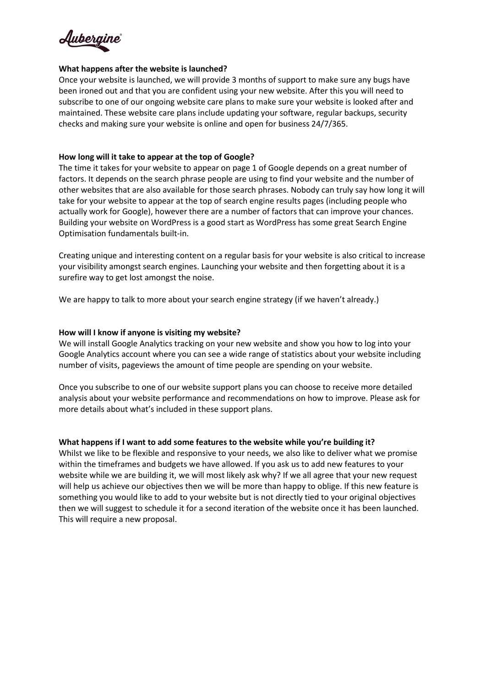

### **What happens after the website is launched?**

Once your website is launched, we will provide 3 months of support to make sure any bugs have been ironed out and that you are confident using your new website. After this you will need to subscribe to one of our ongoing website care plans to make sure your website is looked after and maintained. These website care plans include updating your software, regular backups, security checks and making sure your website is online and open for business 24/7/365.

### **How long will it take to appear at the top of Google?**

The time it takes for your website to appear on page 1 of Google depends on a great number of factors. It depends on the search phrase people are using to find your website and the number of other websites that are also available for those search phrases. Nobody can truly say how long it will take for your website to appear at the top of search engine results pages (including people who actually work for Google), however there are a number of factors that can improve your chances. Building your website on WordPress is a good start as WordPress has some great Search Engine Optimisation fundamentals built‐in.

Creating unique and interesting content on a regular basis for your website is also critical to increase your visibility amongst search engines. Launching your website and then forgetting about it is a surefire way to get lost amongst the noise.

We are happy to talk to more about your search engine strategy (if we haven't already.)

### **How will I know if anyone is visiting my website?**

We will install Google Analytics tracking on your new website and show you how to log into your Google Analytics account where you can see a wide range of statistics about your website including number of visits, pageviews the amount of time people are spending on your website.

Once you subscribe to one of our website support plans you can choose to receive more detailed analysis about your website performance and recommendations on how to improve. Please ask for more details about what's included in these support plans.

#### **What happens if I want to add some features to the website while you're building it?**

Whilst we like to be flexible and responsive to your needs, we also like to deliver what we promise within the timeframes and budgets we have allowed. If you ask us to add new features to your website while we are building it, we will most likely ask why? If we all agree that your new request will help us achieve our objectives then we will be more than happy to oblige. If this new feature is something you would like to add to your website but is not directly tied to your original objectives then we will suggest to schedule it for a second iteration of the website once it has been launched. This will require a new proposal.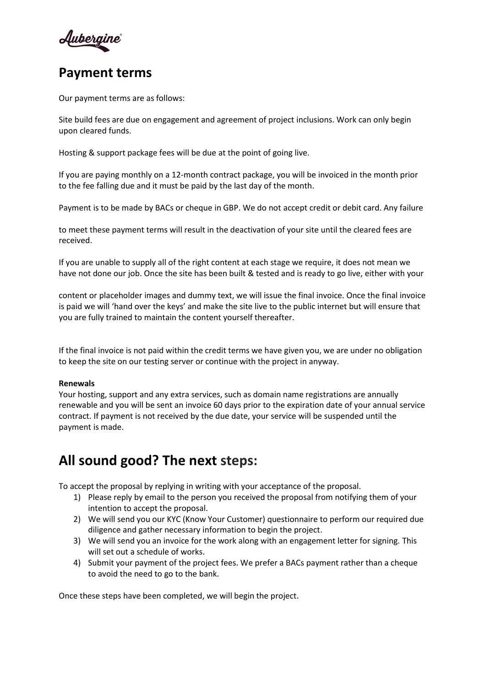Aubergine

### **Payment terms**

Our payment terms are as follows:

Site build fees are due on engagement and agreement of project inclusions. Work can only begin upon cleared funds.

Hosting & support package fees will be due at the point of going live.

If you are paying monthly on a 12-month contract package, you will be invoiced in the month prior to the fee falling due and it must be paid by the last day of the month.

Payment is to be made by BACs or cheque in GBP. We do not accept credit or debit card. Any failure

to meet these payment terms will result in the deactivation of your site until the cleared fees are received.

If you are unable to supply all of the right content at each stage we require, it does not mean we have not done our job. Once the site has been built & tested and is ready to go live, either with your

content or placeholder images and dummy text, we will issue the final invoice. Once the final invoice is paid we will 'hand over the keys' and make the site live to the public internet but will ensure that you are fully trained to maintain the content yourself thereafter.

If the final invoice is not paid within the credit terms we have given you, we are under no obligation to keep the site on our testing server or continue with the project in anyway.

#### **Renewals**

Your hosting, support and any extra services, such as domain name registrations are annually renewable and you will be sent an invoice 60 days prior to the expiration date of your annual service contract. If payment is not received by the due date, your service will be suspended until the payment is made.

# **All sound good? The next steps:**

To accept the proposal by replying in writing with your acceptance of the proposal.

- 1) Please reply by email to the person you received the proposal from notifying them of your intention to accept the proposal.
- 2) We will send you our KYC (Know Your Customer) questionnaire to perform our required due diligence and gather necessary information to begin the project.
- 3) We will send you an invoice for the work along with an engagement letter for signing. This will set out a schedule of works.
- 4) Submit your payment of the project fees. We prefer a BACs payment rather than a cheque to avoid the need to go to the bank.

Once these steps have been completed, we will begin the project.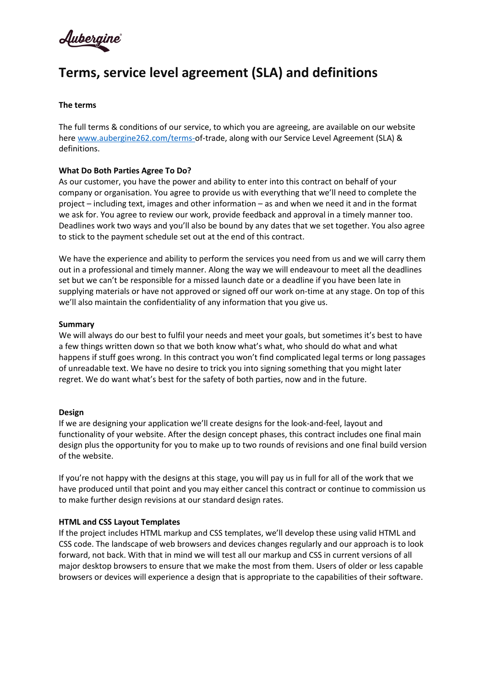<u>Aubergine</u>

# **Terms, service level agreement (SLA) and definitions**

### **The terms**

The full terms & conditions of our service, to which you are agreeing, are available on our website here www.aubergine262.com/terms-of-trade, along with our Service Level Agreement (SLA) & definitions.

### **What Do Both Parties Agree To Do?**

As our customer, you have the power and ability to enter into this contract on behalf of your company or organisation. You agree to provide us with everything that we'll need to complete the project – including text, images and other information – as and when we need it and in the format we ask for. You agree to review our work, provide feedback and approval in a timely manner too. Deadlines work two ways and you'll also be bound by any dates that we set together. You also agree to stick to the payment schedule set out at the end of this contract.

We have the experience and ability to perform the services you need from us and we will carry them out in a professional and timely manner. Along the way we will endeavour to meet all the deadlines set but we can't be responsible for a missed launch date or a deadline if you have been late in supplying materials or have not approved or signed off our work on-time at any stage. On top of this we'll also maintain the confidentiality of any information that you give us.

#### **Summary**

We will always do our best to fulfil your needs and meet your goals, but sometimes it's best to have a few things written down so that we both know what's what, who should do what and what happens if stuff goes wrong. In this contract you won't find complicated legal terms or long passages of unreadable text. We have no desire to trick you into signing something that you might later regret. We do want what's best for the safety of both parties, now and in the future.

#### **Design**

If we are designing your application we'll create designs for the look‐and‐feel, layout and functionality of your website. After the design concept phases, this contract includes one final main design plus the opportunity for you to make up to two rounds of revisions and one final build version of the website.

If you're not happy with the designs at this stage, you will pay us in full for all of the work that we have produced until that point and you may either cancel this contract or continue to commission us to make further design revisions at our standard design rates.

#### **HTML and CSS Layout Templates**

If the project includes HTML markup and CSS templates, we'll develop these using valid HTML and CSS code. The landscape of web browsers and devices changes regularly and our approach is to look forward, not back. With that in mind we will test all our markup and CSS in current versions of all major desktop browsers to ensure that we make the most from them. Users of older or less capable browsers or devices will experience a design that is appropriate to the capabilities of their software.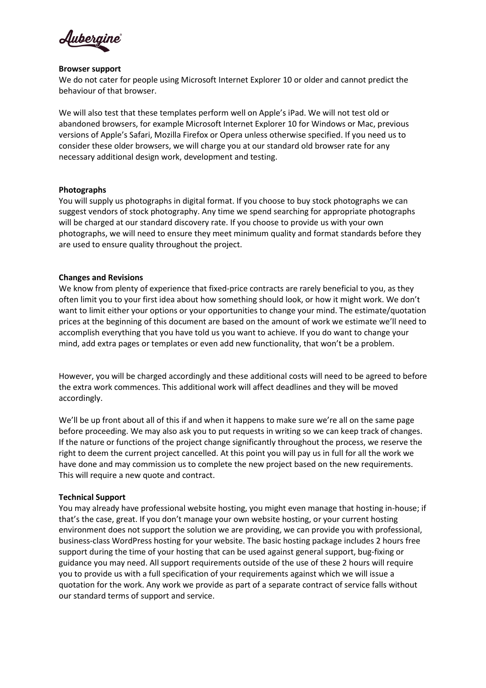

### **Browser support**

We do not cater for people using Microsoft Internet Explorer 10 or older and cannot predict the behaviour of that browser.

We will also test that these templates perform well on Apple's iPad. We will not test old or abandoned browsers, for example Microsoft Internet Explorer 10 for Windows or Mac, previous versions of Apple's Safari, Mozilla Firefox or Opera unless otherwise specified. If you need us to consider these older browsers, we will charge you at our standard old browser rate for any necessary additional design work, development and testing.

### **Photographs**

You will supply us photographs in digital format. If you choose to buy stock photographs we can suggest vendors of stock photography. Any time we spend searching for appropriate photographs will be charged at our standard discovery rate. If you choose to provide us with your own photographs, we will need to ensure they meet minimum quality and format standards before they are used to ensure quality throughout the project.

### **Changes and Revisions**

We know from plenty of experience that fixed-price contracts are rarely beneficial to you, as they often limit you to your first idea about how something should look, or how it might work. We don't want to limit either your options or your opportunities to change your mind. The estimate/quotation prices at the beginning of this document are based on the amount of work we estimate we'll need to accomplish everything that you have told us you want to achieve. If you do want to change your mind, add extra pages or templates or even add new functionality, that won't be a problem.

However, you will be charged accordingly and these additional costs will need to be agreed to before the extra work commences. This additional work will affect deadlines and they will be moved accordingly.

We'll be up front about all of this if and when it happens to make sure we're all on the same page before proceeding. We may also ask you to put requests in writing so we can keep track of changes. If the nature or functions of the project change significantly throughout the process, we reserve the right to deem the current project cancelled. At this point you will pay us in full for all the work we have done and may commission us to complete the new project based on the new requirements. This will require a new quote and contract.

### **Technical Support**

You may already have professional website hosting, you might even manage that hosting in‐house; if that's the case, great. If you don't manage your own website hosting, or your current hosting environment does not support the solution we are providing, we can provide you with professional, business‐class WordPress hosting for your website. The basic hosting package includes 2 hours free support during the time of your hosting that can be used against general support, bug-fixing or guidance you may need. All support requirements outside of the use of these 2 hours will require you to provide us with a full specification of your requirements against which we will issue a quotation for the work. Any work we provide as part of a separate contract of service falls without our standard terms of support and service.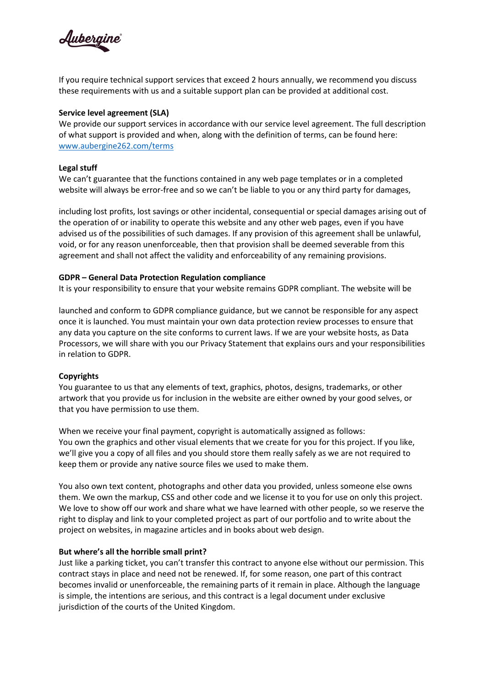

If you require technical support services that exceed 2 hours annually, we recommend you discuss these requirements with us and a suitable support plan can be provided at additional cost.

### **Service level agreement (SLA)**

We provide our support services in accordance with our service level agreement. The full description of what support is provided and when, along with the definition of terms, can be found here: [www.aubergine262.com/terms](http://www.aubergine262.com/terms)

#### **Legal stuff**

We can't guarantee that the functions contained in any web page templates or in a completed website will always be error-free and so we can't be liable to you or any third party for damages,

including lost profits, lost savings or other incidental, consequential or special damages arising out of the operation of or inability to operate this website and any other web pages, even if you have advised us of the possibilities of such damages. If any provision of this agreement shall be unlawful, void, or for any reason unenforceable, then that provision shall be deemed severable from this agreement and shall not affect the validity and enforceability of any remaining provisions.

### **GDPR – General Data Protection Regulation compliance**

It is your responsibility to ensure that your website remains GDPR compliant. The website will be

launched and conform to GDPR compliance guidance, but we cannot be responsible for any aspect once it is launched. You must maintain your own data protection review processes to ensure that any data you capture on the site conforms to current laws. If we are your website hosts, as Data Processors, we will share with you our Privacy Statement that explains ours and your responsibilities in relation to GDPR.

#### **Copyrights**

You guarantee to us that any elements of text, graphics, photos, designs, trademarks, or other artwork that you provide us for inclusion in the website are either owned by your good selves, or that you have permission to use them.

When we receive your final payment, copyright is automatically assigned as follows: You own the graphics and other visual elements that we create for you for this project. If you like, we'll give you a copy of all files and you should store them really safely as we are not required to keep them or provide any native source files we used to make them.

You also own text content, photographs and other data you provided, unless someone else owns them. We own the markup, CSS and other code and we license it to you for use on only this project. We love to show off our work and share what we have learned with other people, so we reserve the right to display and link to your completed project as part of our portfolio and to write about the project on websites, in magazine articles and in books about web design.

#### **But where's all the horrible small print?**

Just like a parking ticket, you can't transfer this contract to anyone else without our permission. This contract stays in place and need not be renewed. If, for some reason, one part of this contract becomes invalid or unenforceable, the remaining parts of it remain in place. Although the language is simple, the intentions are serious, and this contract is a legal document under exclusive jurisdiction of the courts of the United Kingdom.